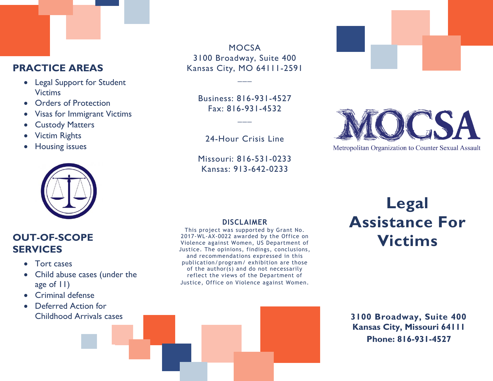#### **PRACTICE AREAS**

- Legal Support for Student Victims
- Orders of Protection
- Visas for Immigrant Victims
- Custody Matters
- Victim Rights
- Housing issues



#### **OUT-OF-SCOPE SERVICES**

- Tort cases
- Child abuse cases (under the age of 11)
- Criminal defense
- Deferred Action for Childhood Arrivals cases

**MOCSA** 3100 Broadway, Suite 400 Kansas City, MO 64111-2591

**\_\_\_**

Business: 816-931-4527 Fax: 816-931-4532

**\_\_\_**

24-Hour Crisis Line

Missouri: 816-531-0233 Kansas: 913-642-0233



#### **DISCLAIMER**

This project was supported by Grant No. 2017-WL-AX-0022 awarded by the Office on Violence against Women, US Department of Justice. The opinions, findings, conclusions, and recommendations expressed in this publication/program/ exhibition are those of the author(s) and do not necessarily reflect the views of the Department of Justice, Office on Violence against Women.

# **Legal Assistance For Victims**

#### **3100 Broadway, Suite 400 Kansas City, Missouri 64111 Phone: 816-931-4527**